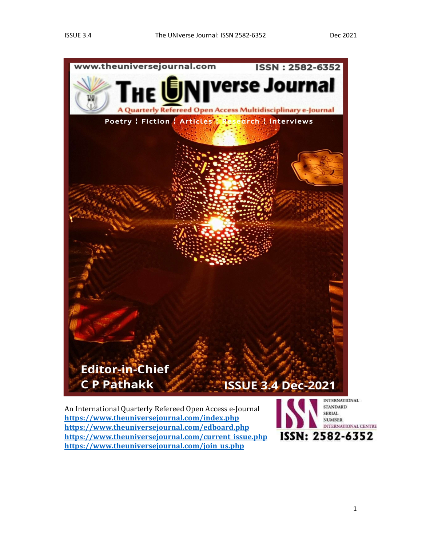

An International Quarterly Refereed Open Access e-Journal https://www.theuniversejournal.com/index.php<br>https://www.theuniversejournal.com/index.php<br>https://www.theuniversejournal.com/edboard.php https://www.theuniversejournal.com/current\_issue.php **155N: 2582-6352**<br>https://www.theuniversejournal.com/join\_us.php

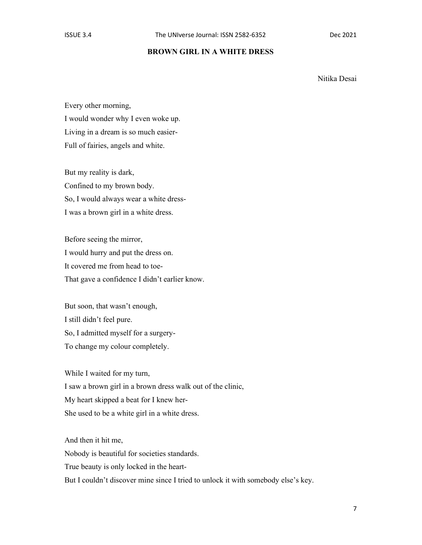## BROWN GIRL IN A WHITE DRESS

Nitika Desai

Every other morning, I would wonder why I even woke up. Living in a dream is so much easier-Full of fairies, angels and white.

But my reality is dark, Confined to my brown body. So, I would always wear a white dress-I was a brown girl in a white dress.

Before seeing the mirror, I would hurry and put the dress on. It covered me from head to toe-That gave a confidence I didn't earlier know.

But soon, that wasn't enough, I still didn't feel pure. So, I admitted myself for a surgery-To change my colour completely.

While I waited for my turn, I saw a brown girl in a brown dress walk out of the clinic, My heart skipped a beat for I knew her-She used to be a white girl in a white dress.

And then it hit me, Nobody is beautiful for societies standards. True beauty is only locked in the heart-But I couldn't discover mine since I tried to unlock it with somebody else's key.